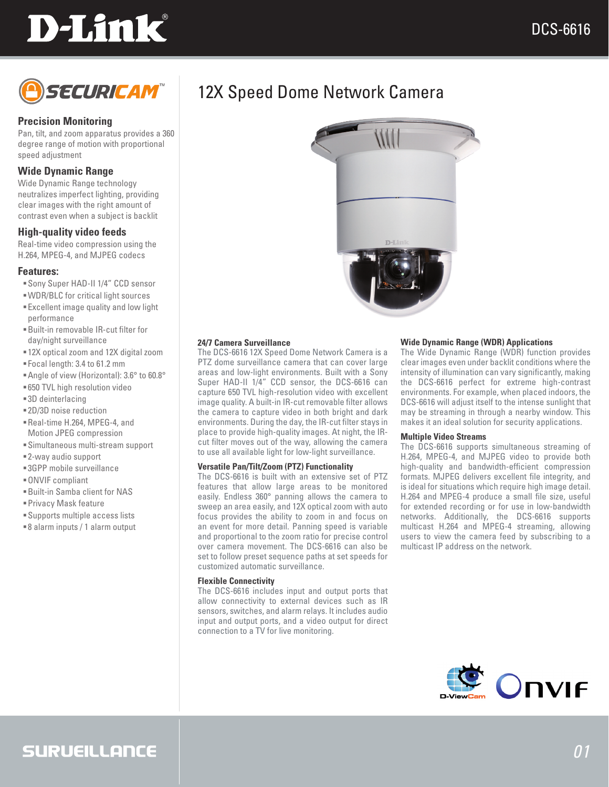# **D-Link**



#### **Precision Monitoring**

Pan, tilt, and zoom apparatus provides a 360 degree range of motion with proportional speed adjustment

#### **Wide Dynamic Range**

Wide Dynamic Range technology neutralizes imperfect lighting, providing clear images with the right amount of contrast even when a subject is backlit

#### **High-quality video feeds**

Real-time video compression using the H.264, MPEG-4, and MJPEG codecs

#### **Features:**

- Sony Super HAD-II 1/4" CCD sensor
- WDR/BLC for critical light sources
- Excellent image quality and low light performance
- Built-in removable IR-cut filter for day/night surveillance
- 12X optical zoom and 12X digital zoom
- Focal length: 3.4 to 61.2 mm
- Angle of view (Horizontal): 3.6° to 60.8°
- 650 TVL high resolution video
- 3D deinterlacing
- 2D/3D noise reduction
- Real-time H.264, MPEG-4, and Motion JPEG compression
- Simultaneous multi-stream support
- 2-way audio support
- 3GPP mobile surveillance
- ONVIF compliant
- Built-in Samba client for NAS
- Privacy Mask feature
- Supports multiple access lists
- 8 alarm inputs / 1 alarm output



#### **24/7 Camera Surveillance**

The DCS-6616 12X Speed Dome Network Camera is a PTZ dome surveillance camera that can cover large areas and low-light environments. Built with a Sony Super HAD-II 1/4" CCD sensor, the DCS-6616 can capture 650 TVL high-resolution video with excellent image quality. A built-in IR-cut removable filter allows the camera to capture video in both bright and dark environments. During the day, the IR-cut filter stays in place to provide high-quality images. At night, the IRcut filter moves out of the way, allowing the camera to use all available light for low-light surveillance.

#### **Versatile Pan/Tilt/Zoom (PTZ) Functionality**

The DCS-6616 is built with an extensive set of PTZ features that allow large areas to be monitored easily. Endless 360° panning allows the camera to sweep an area easily, and 12X optical zoom with auto focus provides the ability to zoom in and focus on an event for more detail. Panning speed is variable and proportional to the zoom ratio for precise control over camera movement. The DCS-6616 can also be set to follow preset sequence paths at set speeds for customized automatic surveillance.

#### **Flexible Connectivity**

The DCS-6616 includes input and output ports that allow connectivity to external devices such as IR sensors, switches, and alarm relays. It includes audio input and output ports, and a video output for direct connection to a TV for live monitoring.

#### **Wide Dynamic Range (WDR) Applications**

The Wide Dynamic Range (WDR) function provides clear images even under backlit conditions where the intensity of illumination can vary significantly, making the DCS-6616 perfect for extreme high-contrast environments. For example, when placed indoors, the DCS-6616 will adjust itself to the intense sunlight that may be streaming in through a nearby window. This makes it an ideal solution for security applications.

#### **Multiple Video Streams**

The DCS-6616 supports simultaneous streaming of H.264, MPEG-4, and MJPEG video to provide both high-quality and bandwidth-efficient compression formats. MJPEG delivers excellent file integrity, and is ideal for situations which require high image detail. H.264 and MPEG-4 produce a small file size, useful for extended recording or for use in low-bandwidth networks. Additionally, the DCS-6616 supports multicast H.264 and MPEG-4 streaming, allowing users to view the camera feed by subscribing to a multicast IP address on the network.



### SURUEILLANCE

### 12X Speed Dome Network Camera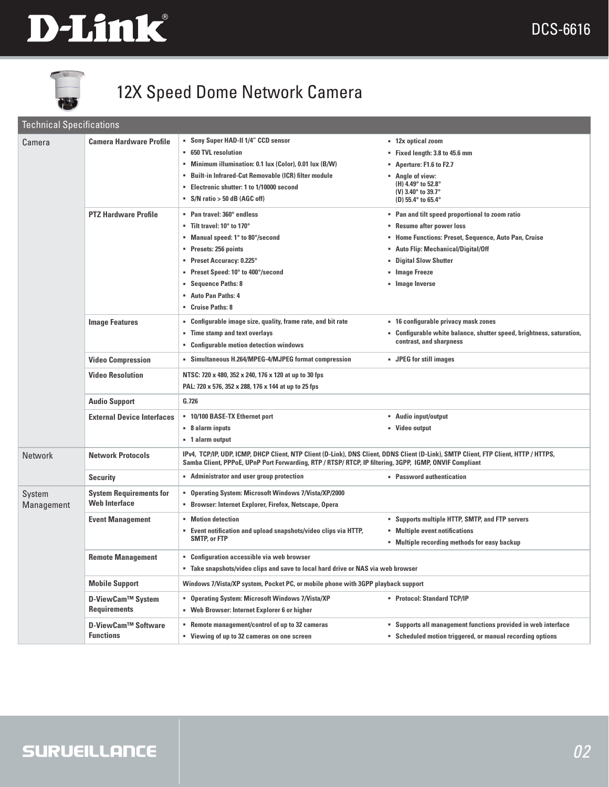



# 12X Speed Dome Network Camera

#### Technical Specifications

| Camera               | <b>Camera Hardware Profile</b>                  | • Sony Super HAD-II 1/4" CCD sensor                                                                                                                                                                                                           | ■ 12x optical zoom                                                                 |
|----------------------|-------------------------------------------------|-----------------------------------------------------------------------------------------------------------------------------------------------------------------------------------------------------------------------------------------------|------------------------------------------------------------------------------------|
|                      |                                                 | <b>650 TVL resolution</b>                                                                                                                                                                                                                     | Fixed length: 3.8 to 45.6 mm                                                       |
|                      |                                                 | • Minimum illumination: 0.1 lux (Color), 0.01 lux (B/W)                                                                                                                                                                                       | Aperture: F1.6 to F2.7 •                                                           |
|                      |                                                 | " Built-in Infrared-Cut Removable (ICR) filter module                                                                                                                                                                                         | • Angle of view:<br>(H) 4.49° to 52.8°<br>(V) 3.40° to 39.7°<br>(D) 55.4° to 65.4° |
|                      |                                                 | Electronic shutter: 1 to 1/10000 second<br>٠                                                                                                                                                                                                  |                                                                                    |
|                      |                                                 | $\blacksquare$ S/N ratio > 50 dB (AGC off)                                                                                                                                                                                                    |                                                                                    |
|                      | <b>PTZ Hardware Profile</b>                     | " Pan travel: 360° endless                                                                                                                                                                                                                    | • Pan and tilt speed proportional to zoom ratio                                    |
|                      |                                                 | $\blacksquare$ Tilt travel: 10 $^{\circ}$ to 170 $^{\circ}$                                                                                                                                                                                   | • Resume after power loss                                                          |
|                      |                                                 | • Manual speed: 1° to 80°/second                                                                                                                                                                                                              | • Home Functions: Preset, Sequence, Auto Pan, Cruise                               |
|                      |                                                 | Presets: 256 points<br>٠                                                                                                                                                                                                                      | • Auto Flip: Mechanical/Digital/Off                                                |
|                      |                                                 | Preset Accuracy: 0.225°                                                                                                                                                                                                                       | <b>Digital Slow Shutter</b>                                                        |
|                      |                                                 | " Preset Speed: 10° to 400°/second                                                                                                                                                                                                            | • Image Freeze                                                                     |
|                      |                                                 | <b>Sequence Paths: 8</b>                                                                                                                                                                                                                      | Umage Inverse                                                                      |
|                      |                                                 | <b>Auto Pan Paths: 4</b>                                                                                                                                                                                                                      |                                                                                    |
|                      |                                                 | Cruise Paths: 8                                                                                                                                                                                                                               |                                                                                    |
|                      | <b>Image Features</b>                           | Configurable image size, quality, frame rate, and bit rate<br>٠                                                                                                                                                                               | " 16 configurable privacy mask zones                                               |
|                      |                                                 | " Time stamp and text overlays                                                                                                                                                                                                                | " Configurable white balance, shutter speed, brightness, saturation,               |
|                      |                                                 | <b>Configurable motion detection windows</b><br>٠                                                                                                                                                                                             | contrast, and sharpness                                                            |
|                      | <b>Video Compression</b>                        | • Simultaneous H.264/MPEG-4/MJPEG format compression                                                                                                                                                                                          | • JPEG for still images                                                            |
|                      |                                                 |                                                                                                                                                                                                                                               |                                                                                    |
|                      | <b>Video Resolution</b>                         | NTSC: 720 x 480, 352 x 240, 176 x 120 at up to 30 fps                                                                                                                                                                                         |                                                                                    |
|                      |                                                 | PAL: 720 x 576, 352 x 288, 176 x 144 at up to 25 fps                                                                                                                                                                                          |                                                                                    |
|                      | <b>Audio Support</b>                            | G.726                                                                                                                                                                                                                                         |                                                                                    |
|                      | <b>External Device Interfaces</b>               | " 10/100 BASE-TX Ethernet port                                                                                                                                                                                                                | " Audio input/output                                                               |
|                      |                                                 | ■ 8 alarm inputs                                                                                                                                                                                                                              | • Video output                                                                     |
|                      |                                                 | • 1 alarm output                                                                                                                                                                                                                              |                                                                                    |
| <b>Network</b>       | <b>Network Protocols</b>                        | IPv4, TCP/IP, UDP, ICMP, DHCP Client, NTP Client (D-Link), DNS Client, DDNS Client (D-Link), SMTP Client, FTP Client, HTTP / HTTPS,<br>Samba Client, PPPoE, UPnP Port Forwarding, RTP / RTSP/ RTCP, IP filtering, 3GPP, IGMP, ONVIF Compliant |                                                                                    |
|                      | <b>Security</b>                                 | • Administrator and user group protection                                                                                                                                                                                                     | • Password authentication                                                          |
| System<br>Management | <b>System Requirements for</b>                  | " Operating System: Microsoft Windows 7/Vista/XP/2000                                                                                                                                                                                         |                                                                                    |
|                      | <b>Web Interface</b>                            | " Browser: Internet Explorer, Firefox, Netscape, Opera                                                                                                                                                                                        |                                                                                    |
|                      | <b>Event Management</b>                         | • Motion detection                                                                                                                                                                                                                            | " Supports multiple HTTP, SMTP, and FTP servers                                    |
|                      |                                                 | Event notification and upload snapshots/video clips via HTTP,<br><b>SMTP, or FTP</b>                                                                                                                                                          | • Multiple event notifications                                                     |
|                      |                                                 |                                                                                                                                                                                                                                               | • Multiple recording methods for easy backup                                       |
|                      | <b>Remote Management</b>                        | • Configuration accessible via web browser                                                                                                                                                                                                    |                                                                                    |
|                      |                                                 | . Take snapshots/video clips and save to local hard drive or NAS via web browser                                                                                                                                                              |                                                                                    |
|                      |                                                 |                                                                                                                                                                                                                                               |                                                                                    |
|                      | <b>Mobile Support</b>                           | Windows 7/Vista/XP system, Pocket PC, or mobile phone with 3GPP playback support                                                                                                                                                              |                                                                                    |
|                      | <b>D-ViewCam™ System</b><br><b>Requirements</b> | " Operating System: Microsoft Windows 7/Vista/XP                                                                                                                                                                                              | • Protocol: Standard TCP/IP                                                        |
|                      |                                                 | • Web Browser: Internet Explorer 6 or higher                                                                                                                                                                                                  |                                                                                    |
|                      | <b>D-ViewCam™ Software</b>                      | • Remote management/control of up to 32 cameras                                                                                                                                                                                               | • Supports all management functions provided in web interface                      |
|                      | <b>Functions</b>                                | • Viewing of up to 32 cameras on one screen                                                                                                                                                                                                   | • Scheduled motion triggered, or manual recording options                          |